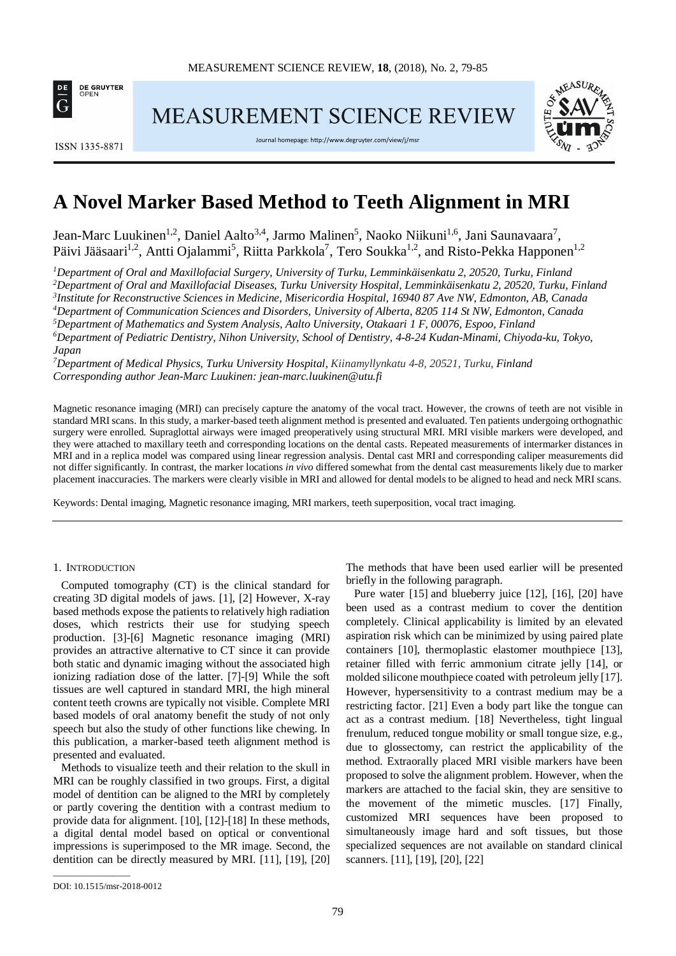

**ISSN 1335-8871** 

MEASUREMENT SCIENCE REVIEW





# **A Novel Marker Based Method to Teeth Alignment in MRI**

Jean-Marc Luukinen<sup>1,2</sup>, Daniel Aalto<sup>3,4</sup>, Jarmo Malinen<sup>5</sup>, Naoko Niikuni<sup>1,6</sup>, Jani Saunavaara<sup>7</sup>, Päivi Jääsaari<sup>1,2</sup>, Antti Ojalammi<sup>5</sup>, Riitta Parkkola<sup>7</sup>, Tero Soukka<sup>1,2</sup>, and Risto-Pekka Happonen<sup>1,2</sup>

 *Department of Oral and Maxillofacial Surgery, University of Turku, Lemminkäisenkatu 2, 20520, Turku, Finland Department of Oral and Maxillofacial Diseases, Turku University Hospital, Lemminkäisenkatu 2, 20520, Turku, Finland Institute for Reconstructive Sciences in Medicine, Misericordia Hospital, 16940 87 Ave NW, Edmonton, AB, Canada Department of Communication Sciences and Disorders, University of Alberta, 8205 114 St NW, Edmonton, Canada Department of Mathematics and System Analysis, Aalto University, Otakaari 1 F, 00076, Espoo, Finland Department of Pediatric Dentistry, Nihon University, School of Dentistry, 4-8-24 Kudan-Minami, Chiyoda-ku, Tokyo, Japan*

*7 Department of Medical Physics, Turku University Hospital, Kiinamyllynkatu 4-8, 20521, Turku, Finland Corresponding author Jean-Marc Luukinen[: jean-marc.luukinen@utu.fi](mailto:jean-marc.luukinen@utu.fi)*

Magnetic resonance imaging (MRI) can precisely capture the anatomy of the vocal tract. However, the crowns of teeth are not visible in standard MRI scans. In this study, a marker-based teeth alignment method is presented and evaluated. Ten patients undergoing orthognathic surgery were enrolled. Supraglottal airways were imaged preoperatively using structural MRI. MRI visible markers were developed, and they were attached to maxillary teeth and corresponding locations on the dental casts. Repeated measurements of intermarker distances in MRI and in a replica model was compared using linear regression analysis. Dental cast MRI and corresponding caliper measurements did not differ significantly. In contrast, the marker locations *in vivo* differed somewhat from the dental cast measurements likely due to marker placement inaccuracies. The markers were clearly visible in MRI and allowed for dental models to be aligned to head and neck MRI scans.

Keywords: Dental imaging, Magnetic resonance imaging, MRI markers, teeth superposition, vocal tract imaging.

# 1. INTRODUCTION

Computed tomography (CT) is the clinical standard for creating 3D digital models of jaws. [1], [2] However, X-ray based methods expose the patients to relatively high radiation doses, which restricts their use for studying speech production. [3]-[6] Magnetic resonance imaging (MRI) provides an attractive alternative to CT since it can provide both static and dynamic imaging without the associated high ionizing radiation dose of the latter. [7]-[9] While the soft tissues are well captured in standard MRI, the high mineral content teeth crowns are typically not visible. Complete MRI based models of oral anatomy benefit the study of not only speech but also the study of other functions like chewing. In this publication, a marker-based teeth alignment method is presented and evaluated.

Methods to visualize teeth and their relation to the skull in MRI can be roughly classified in two groups. First, a digital model of dentition can be aligned to the MRI by completely or partly covering the dentition with a contrast medium to provide data for alignment. [10], [12]-[18] In these methods, a digital dental model based on optical or conventional impressions is superimposed to the MR image. Second, the dentition can be directly measured by MRI. [11], [19], [20] The methods that have been used earlier will be presented briefly in the following paragraph.

Pure water [15] and blueberry juice [12], [16], [20] have been used as a contrast medium to cover the dentition completely. Clinical applicability is limited by an elevated aspiration risk which can be minimized by using paired plate containers [10], thermoplastic elastomer mouthpiece [13], retainer filled with ferric ammonium citrate jelly [14], or molded silicone mouthpiece coated with petroleum jelly [17]. However, hypersensitivity to a contrast medium may be a restricting factor. [21] Even a body part like the tongue can act as a contrast medium. [18] Nevertheless, tight lingual frenulum, reduced tongue mobility or small tongue size, e.g., due to glossectomy, can restrict the applicability of the method. Extraorally placed MRI visible markers have been proposed to solve the alignment problem. However, when the markers are attached to the facial skin, they are sensitive to the movement of the mimetic muscles. [17] Finally, customized MRI sequences have been proposed to simultaneously image hard and soft tissues, but those specialized sequences are not available on standard clinical scanners. [11], [19], [20], [22]

\_\_\_\_\_\_\_\_\_\_\_\_\_\_\_\_\_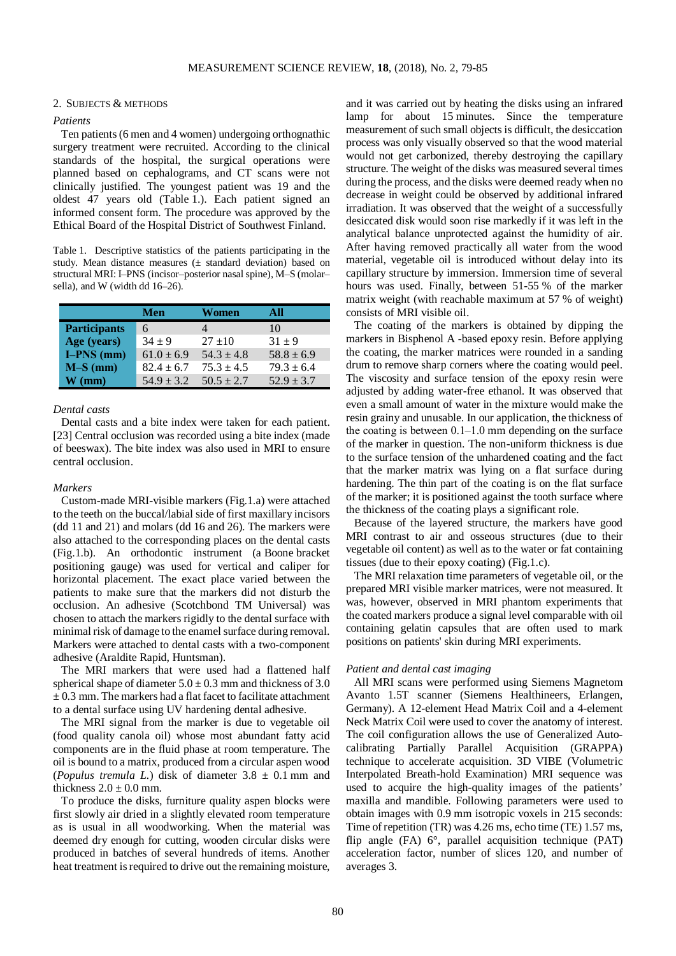# 2. SUBJECTS & METHODS

# *Patients*

Ten patients (6 men and 4 women) undergoing orthognathic surgery treatment were recruited. According to the clinical standards of the hospital, the surgical operations were planned based on cephalograms, and CT scans were not clinically justified. The youngest patient was 19 and the oldest 47 years old (Table 1.). Each patient signed an informed consent form. The procedure was approved by the Ethical Board of the Hospital District of Southwest Finland.

Table 1. Descriptive statistics of the patients participating in the study. Mean distance measures (± standard deviation) based on structural MRI: I-PNS (incisor-posterior nasal spine), M-S (molarsella), and W (width dd 16–26).

|                     | Men            | Women          | All            |
|---------------------|----------------|----------------|----------------|
| <b>Participants</b> | 6              |                | 10             |
| Age (years)         | $34 + 9$       | $27 + 10$      | $31 + 9$       |
| $I-PNS$ (mm)        | $61.0 \pm 6.9$ | $54.3 \pm 4.8$ | $58.8 \pm 6.9$ |
| $M-S$ (mm)          | $82.4 \pm 6.7$ | $75.3 \pm 4.5$ | $79.3 \pm 6.4$ |
| $\bf{W}$ (mm)       | $54.9 \pm 3.2$ | $50.5 \pm 2.7$ | $52.9 \pm 3.7$ |

#### *Dental casts*

Dental casts and a bite index were taken for each patient. [23] Central occlusion was recorded using a bite index (made of beeswax). The bite index was also used in MRI to ensure central occlusion.

### *Markers*

Custom-made MRI-visible markers (Fig.1.a) were attached to the teeth on the buccal/labial side of first maxillary incisors (dd 11 and 21) and molars (dd 16 and 26). The markers were also attached to the corresponding places on the dental casts (Fig.1.b). An orthodontic instrument (a Boone bracket positioning gauge) was used for vertical and caliper for horizontal placement. The exact place varied between the patients to make sure that the markers did not disturb the occlusion. An adhesive (Scotchbond TM Universal) was chosen to attach the markers rigidly to the dental surface with minimal risk of damage to the enamel surface during removal. Markers were attached to dental casts with a two-component adhesive (Araldite Rapid, Huntsman).

The MRI markers that were used had a flattened half spherical shape of diameter  $5.0 \pm 0.3$  mm and thickness of 3.0  $\pm$  0.3 mm. The markers had a flat facet to facilitate attachment to a dental surface using UV hardening dental adhesive.

The MRI signal from the marker is due to vegetable oil (food quality canola oil) whose most abundant fatty acid components are in the fluid phase at room temperature. The oil is bound to a matrix, produced from a circular aspen wood (*Populus tremula L.*) disk of diameter  $3.8 \pm 0.1$  mm and thickness  $2.0 \pm 0.0$  mm.

To produce the disks, furniture quality aspen blocks were first slowly air dried in a slightly elevated room temperature as is usual in all woodworking. When the material was deemed dry enough for cutting, wooden circular disks were produced in batches of several hundreds of items. Another heat treatment is required to drive out the remaining moisture, and it was carried out by heating the disks using an infrared lamp for about 15 minutes. Since the temperature measurement of such small objects is difficult, the desiccation process was only visually observed so that the wood material would not get carbonized, thereby destroying the capillary structure. The weight of the disks was measured several times during the process, and the disks were deemed ready when no decrease in weight could be observed by additional infrared irradiation. It was observed that the weight of a successfully desiccated disk would soon rise markedly if it was left in the analytical balance unprotected against the humidity of air. After having removed practically all water from the wood material, vegetable oil is introduced without delay into its capillary structure by immersion. Immersion time of several hours was used. Finally, between 51-55 % of the marker matrix weight (with reachable maximum at 57 % of weight) consists of MRI visible oil.

The coating of the markers is obtained by dipping the markers in Bisphenol A -based epoxy resin. Before applying the coating, the marker matrices were rounded in a sanding drum to remove sharp corners where the coating would peel. The viscosity and surface tension of the epoxy resin were adjusted by adding water-free ethanol. It was observed that even a small amount of water in the mixture would make the resin grainy and unusable. In our application, the thickness of the coating is between  $0.1-1.0$  mm depending on the surface of the marker in question. The non-uniform thickness is due to the surface tension of the unhardened coating and the fact that the marker matrix was lying on a flat surface during hardening. The thin part of the coating is on the flat surface of the marker; it is positioned against the tooth surface where the thickness of the coating plays a significant role.

Because of the layered structure, the markers have good MRI contrast to air and osseous structures (due to their vegetable oil content) as well as to the water or fat containing tissues (due to their epoxy coating) (Fig.1.c).

The MRI relaxation time parameters of vegetable oil, or the prepared MRI visible marker matrices, were not measured. It was, however, observed in MRI phantom experiments that the coated markers produce a signal level comparable with oil containing gelatin capsules that are often used to mark positions on patients' skin during MRI experiments.

#### *Patient and dental cast imaging*

All MRI scans were performed using Siemens Magnetom Avanto 1.5T scanner (Siemens Healthineers, Erlangen, Germany). A 12-element Head Matrix Coil and a 4-element Neck Matrix Coil were used to cover the anatomy of interest. The coil configuration allows the use of Generalized Autocalibrating Partially Parallel Acquisition (GRAPPA) technique to accelerate acquisition. 3D VIBE (Volumetric Interpolated Breath-hold Examination) MRI sequence was used to acquire the high-quality images of the patients' maxilla and mandible. Following parameters were used to obtain images with 0.9 mm isotropic voxels in 215 seconds: Time of repetition (TR) was 4.26 ms, echo time (TE) 1.57 ms, flip angle (FA) 6°, parallel acquisition technique (PAT) acceleration factor, number of slices 120, and number of averages 3.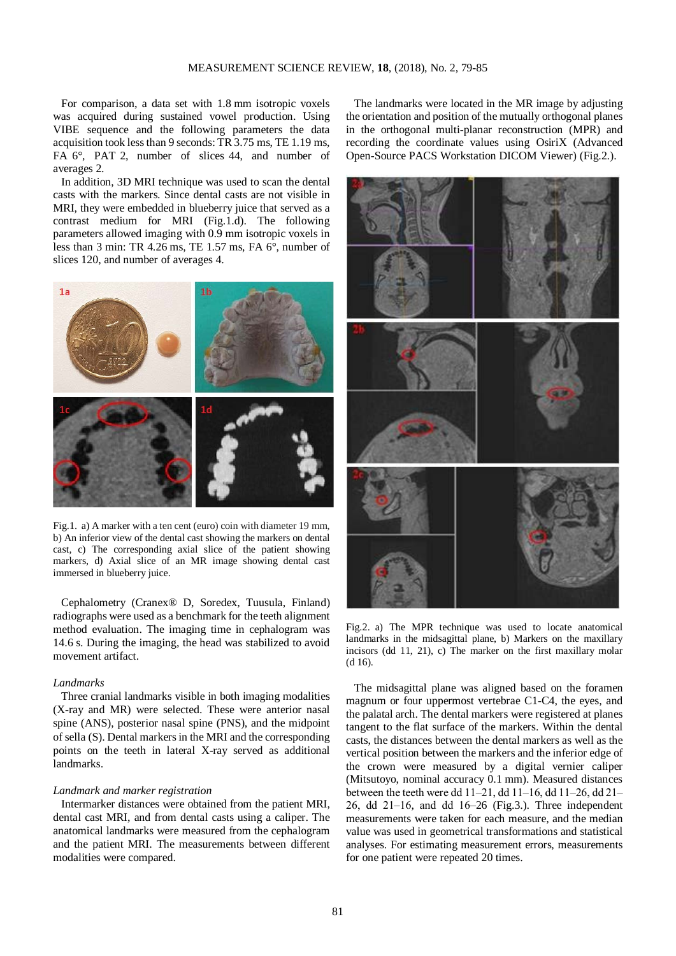For comparison, a data set with 1.8 mm isotropic voxels was acquired during sustained vowel production. Using VIBE sequence and the following parameters the data acquisition took less than 9 seconds: TR 3.75 ms, TE 1.19 ms, FA 6°, PAT 2, number of slices 44, and number of averages 2.

In addition, 3D MRI technique was used to scan the dental casts with the markers. Since dental casts are not visible in MRI, they were embedded in blueberry juice that served as a contrast medium for MRI (Fig.1.d). The following parameters allowed imaging with 0.9 mm isotropic voxels in less than 3 min: TR 4.26 ms, TE 1.57 ms, FA 6°, number of slices 120, and number of averages 4.



Fig.1. a) A marker with a ten cent (euro) coin with diameter 19 mm, b) An inferior view of the dental cast showing the markers on dental cast, c) The corresponding axial slice of the patient showing markers, d) Axial slice of an MR image showing dental cast immersed in blueberry juice.

Cephalometry (Cranex® D, Soredex, Tuusula, Finland) radiographs were used as a benchmark for the teeth alignment method evaluation. The imaging time in cephalogram was 14.6 s. During the imaging, the head was stabilized to avoid movement artifact.

# *Landmarks*

Three cranial landmarks visible in both imaging modalities (X-ray and MR) were selected. These were anterior nasal spine (ANS), posterior nasal spine (PNS), and the midpoint of sella (S). Dental markers in the MRI and the corresponding points on the teeth in lateral X-ray served as additional landmarks.

# *Landmark and marker registration*

Intermarker distances were obtained from the patient MRI, dental cast MRI, and from dental casts using a caliper. The anatomical landmarks were measured from the cephalogram and the patient MRI. The measurements between different modalities were compared.

The landmarks were located in the MR image by adjusting the orientation and position of the mutually orthogonal planes in the orthogonal multi-planar reconstruction (MPR) and recording the coordinate values using OsiriX (Advanced Open-Source PACS Workstation DICOM Viewer) (Fig.2.).



Fig.2. a) The MPR technique was used to locate anatomical landmarks in the midsagittal plane, b) Markers on the maxillary incisors (dd 11, 21), c) The marker on the first maxillary molar (d 16).

The midsagittal plane was aligned based on the foramen magnum or four uppermost vertebrae C1-C4, the eyes, and the palatal arch. The dental markers were registered at planes tangent to the flat surface of the markers. Within the dental casts, the distances between the dental markers as well as the vertical position between the markers and the inferior edge of the crown were measured by a digital vernier caliper (Mitsutoyo, nominal accuracy 0.1 mm). Measured distances between the teeth were dd 11–21, dd 11–16, dd 11–26, dd 21–  $26$ , dd  $21-16$ , and dd  $16-26$  (Fig.3.). Three independent measurements were taken for each measure, and the median value was used in geometrical transformations and statistical analyses. For estimating measurement errors, measurements for one patient were repeated 20 times.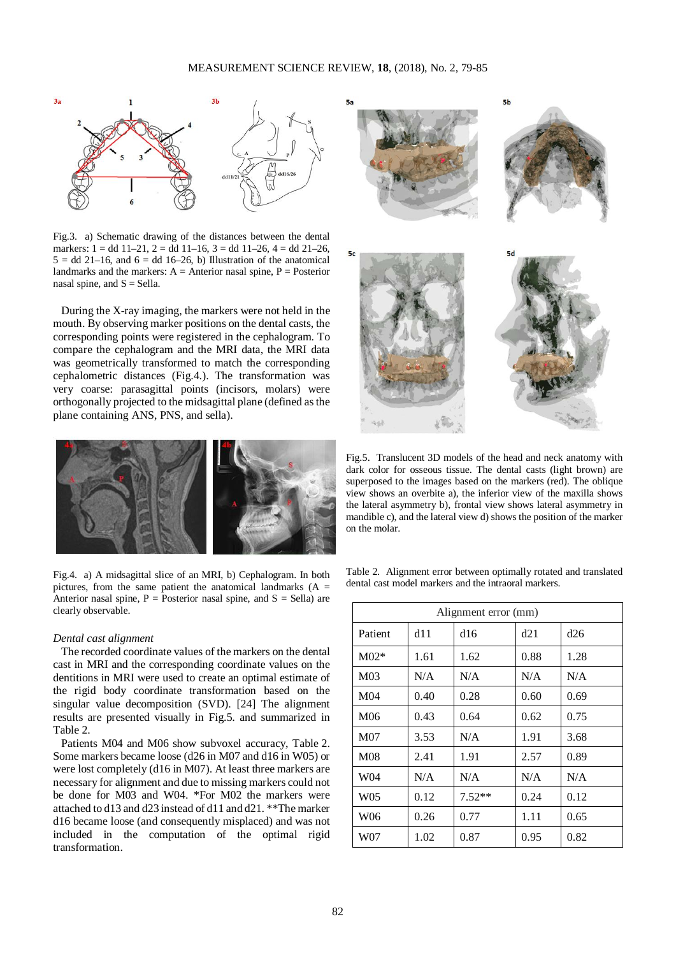

Fig.3. a) Schematic drawing of the distances between the dental markers:  $1 = dd 11-21$ ,  $2 = dd 11-16$ ,  $3 = dd 11-26$ ,  $4 = dd 21-26$ ,  $5 = dd$  21–16, and  $6 = dd$  16–26, b) Illustration of the anatomical landmarks and the markers:  $A =$  Anterior nasal spine,  $P =$  Posterior nasal spine, and  $S =$  Sella.

During the X-ray imaging, the markers were not held in the mouth. By observing marker positions on the dental casts, the corresponding points were registered in the cephalogram. To compare the cephalogram and the MRI data, the MRI data was geometrically transformed to match the corresponding cephalometric distances (Fig.4.). The transformation was very coarse: parasagittal points (incisors, molars) were orthogonally projected to the midsagittal plane (defined as the plane containing ANS, PNS, and sella).



Fig.4. a) A midsagittal slice of an MRI, b) Cephalogram. In both pictures, from the same patient the anatomical landmarks (A = Anterior nasal spine,  $P =$  Posterior nasal spine, and  $S =$  Sella) are clearly observable.

# *Dental cast alignment*

The recorded coordinate values of the markers on the dental cast in MRI and the corresponding coordinate values on the dentitions in MRI were used to create an optimal estimate of the rigid body coordinate transformation based on the singular value decomposition (SVD). [24] The alignment results are presented visually in Fig.5. and summarized in Table 2.

Patients M04 and M06 show subvoxel accuracy, Table 2. Some markers became loose (d26 in M07 and d16 in W05) or were lost completely (d16 in M07). At least three markers are necessary for alignment and due to missing markers could not be done for M03 and W04. \*For M02 the markers were attached to d13 and d23 instead of d11 and d21. \*\*The marker d16 became loose (and consequently misplaced) and was not included in the computation of the optimal rigid transformation.



Fig.5. Translucent 3D models of the head and neck anatomy with dark color for osseous tissue. The dental casts (light brown) are superposed to the images based on the markers (red). The oblique view shows an overbite a), the inferior view of the maxilla shows the lateral asymmetry b), frontal view shows lateral asymmetry in mandible c), and the lateral view d) shows the position of the marker on the molar.

Table 2. Alignment error between optimally rotated and translated dental cast model markers and the intraoral markers.

| Alignment error (mm) |      |          |      |      |  |
|----------------------|------|----------|------|------|--|
| Patient              | d11  | d16      | d21  | d26  |  |
| $M02*$               | 1.61 | 1.62     | 0.88 | 1.28 |  |
| M <sub>03</sub>      | N/A  | N/A      | N/A  | N/A  |  |
| M04                  | 0.40 | 0.28     | 0.60 | 0.69 |  |
| M <sub>06</sub>      | 0.43 | 0.64     | 0.62 | 0.75 |  |
| M07                  | 3.53 | N/A      | 1.91 | 3.68 |  |
| M08                  | 2.41 | 1.91     | 2.57 | 0.89 |  |
| W04                  | N/A  | N/A      | N/A  | N/A  |  |
| W05                  | 0.12 | $7.52**$ | 0.24 | 0.12 |  |
| W06                  | 0.26 | 0.77     | 1.11 | 0.65 |  |
| W07                  | 1.02 | 0.87     | 0.95 | 0.82 |  |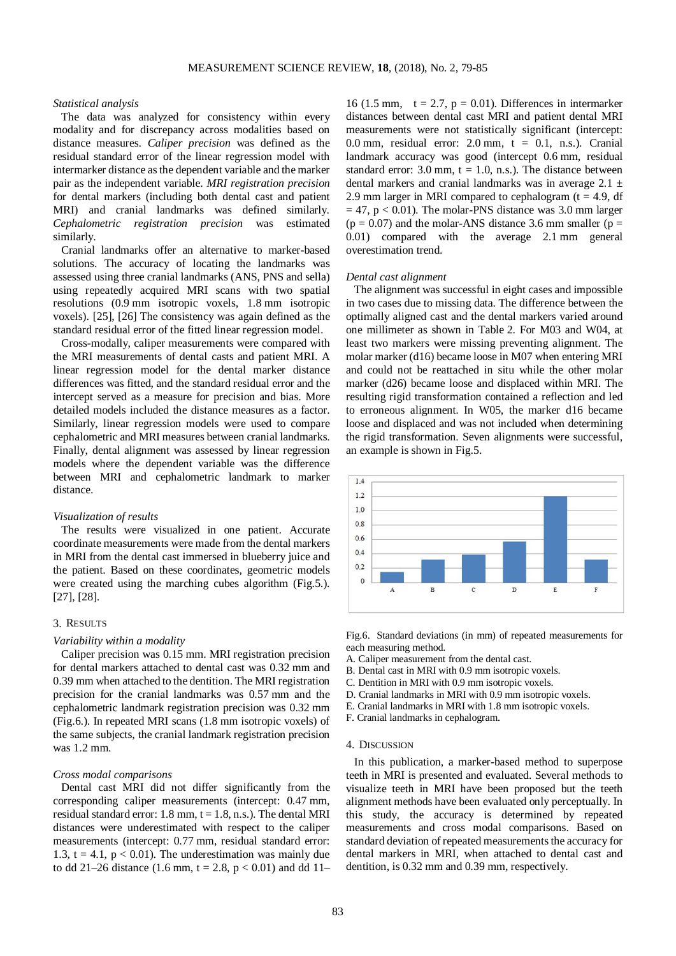# *Statistical analysis*

The data was analyzed for consistency within every modality and for discrepancy across modalities based on distance measures. *Caliper precision* was defined as the residual standard error of the linear regression model with intermarker distance as the dependent variable and the marker pair as the independent variable. *MRI registration precision* for dental markers (including both dental cast and patient MRI) and cranial landmarks was defined similarly. *Cephalometric registration precision* was estimated similarly.

Cranial landmarks offer an alternative to marker-based solutions. The accuracy of locating the landmarks was assessed using three cranial landmarks (ANS, PNS and sella) using repeatedly acquired MRI scans with two spatial resolutions (0.9 mm isotropic voxels, 1.8 mm isotropic voxels). [25], [26] The consistency was again defined as the standard residual error of the fitted linear regression model.

Cross-modally, caliper measurements were compared with the MRI measurements of dental casts and patient MRI. A linear regression model for the dental marker distance differences was fitted, and the standard residual error and the intercept served as a measure for precision and bias. More detailed models included the distance measures as a factor. Similarly, linear regression models were used to compare cephalometric and MRI measures between cranial landmarks. Finally, dental alignment was assessed by linear regression models where the dependent variable was the difference between MRI and cephalometric landmark to marker distance.

# *Visualization of results*

The results were visualized in one patient. Accurate coordinate measurements were made from the dental markers in MRI from the dental cast immersed in blueberry juice and the patient. Based on these coordinates, geometric models were created using the marching cubes algorithm (Fig.5.). [27], [28].

### 3. RESULTS

## *Variability within a modality*

Caliper precision was 0.15 mm. MRI registration precision for dental markers attached to dental cast was 0.32 mm and 0.39 mm when attached to the dentition. The MRI registration precision for the cranial landmarks was 0.57 mm and the cephalometric landmark registration precision was 0.32 mm (Fig.6.). In repeated MRI scans (1.8 mm isotropic voxels) of the same subjects, the cranial landmark registration precision was 1.2 mm.

# *Cross modal comparisons*

Dental cast MRI did not differ significantly from the corresponding caliper measurements (intercept: 0.47 mm, residual standard error: 1.8 mm,  $t = 1.8$ , n.s.). The dental MRI distances were underestimated with respect to the caliper measurements (intercept: 0.77 mm, residual standard error: 1.3,  $t = 4.1$ ,  $p < 0.01$ ). The underestimation was mainly due to dd 21–26 distance (1.6 mm,  $t = 2.8$ ,  $p < 0.01$ ) and dd 11–

16 (1.5 mm,  $t = 2.7$ ,  $p = 0.01$ ). Differences in intermarker distances between dental cast MRI and patient dental MRI measurements were not statistically significant (intercept: 0.0 mm, residual error:  $2.0$  mm,  $t = 0.1$ , n.s.). Cranial landmark accuracy was good (intercept 0.6 mm, residual standard error:  $3.0$  mm,  $t = 1.0$ , n.s.). The distance between dental markers and cranial landmarks was in average  $2.1 \pm$ 2.9 mm larger in MRI compared to cephalogram  $(t = 4.9, df)$  $= 47$ , p  $< 0.01$ ). The molar-PNS distance was 3.0 mm larger  $(p = 0.07)$  and the molar-ANS distance 3.6 mm smaller ( $p =$ 0.01) compared with the average 2.1 mm general overestimation trend.

#### *Dental cast alignment*

The alignment was successful in eight cases and impossible in two cases due to missing data. The difference between the optimally aligned cast and the dental markers varied around one millimeter as shown in Table 2. For M03 and W04, at least two markers were missing preventing alignment. The molar marker (d16) became loose in M07 when entering MRI and could not be reattached in situ while the other molar marker (d26) became loose and displaced within MRI. The resulting rigid transformation contained a reflection and led to erroneous alignment. In W05, the marker d16 became loose and displaced and was not included when determining the rigid transformation. Seven alignments were successful, an example is shown in Fig.5.



Fig.6. Standard deviations (in mm) of repeated measurements for each measuring method.

- A. Caliper measurement from the dental cast.
- B. Dental cast in MRI with 0.9 mm isotropic voxels.
- C. Dentition in MRI with 0.9 mm isotropic voxels.
- D. Cranial landmarks in MRI with 0.9 mm isotropic voxels.
- E. Cranial landmarks in MRI with 1.8 mm isotropic voxels.
- F. Cranial landmarks in cephalogram.

# 4. DISCUSSION

In this publication, a marker-based method to superpose teeth in MRI is presented and evaluated. Several methods to visualize teeth in MRI have been proposed but the teeth alignment methods have been evaluated only perceptually. In this study, the accuracy is determined by repeated measurements and cross modal comparisons. Based on standard deviation of repeated measurements the accuracy for dental markers in MRI, when attached to dental cast and dentition, is 0.32 mm and 0.39 mm, respectively.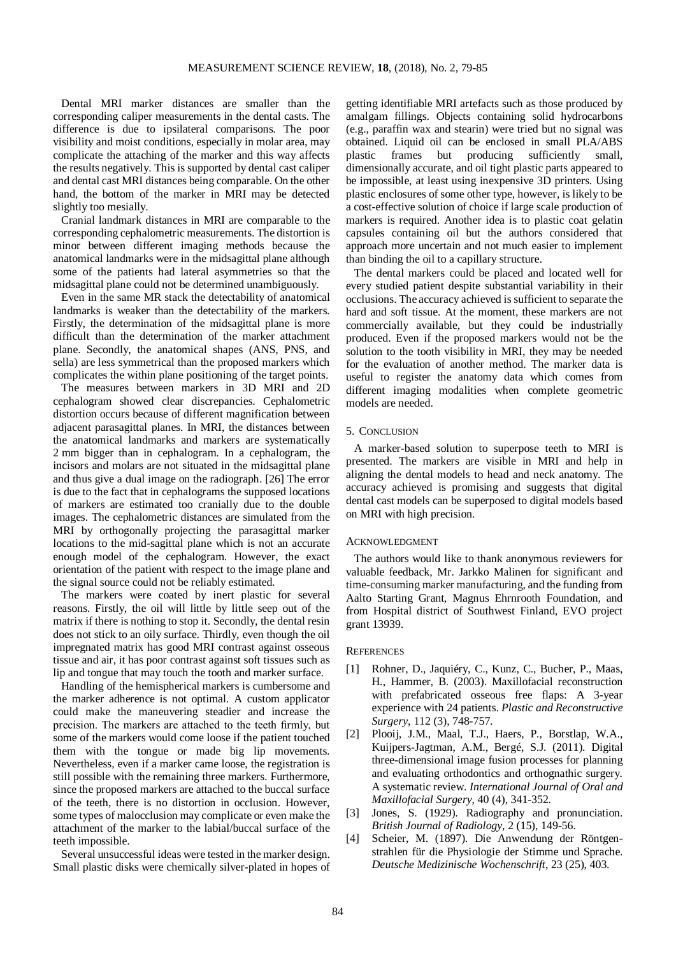Dental MRI marker distances are smaller than the corresponding caliper measurements in the dental casts. The difference is due to ipsilateral comparisons. The poor visibility and moist conditions, especially in molar area, may complicate the attaching of the marker and this way affects the results negatively. This is supported by dental cast caliper and dental cast MRI distances being comparable. On the other hand, the bottom of the marker in MRI may be detected slightly too mesially.

Cranial landmark distances in MRI are comparable to the corresponding cephalometric measurements. The distortion is minor between different imaging methods because the anatomical landmarks were in the midsagittal plane although some of the patients had lateral asymmetries so that the midsagittal plane could not be determined unambiguously.

Even in the same MR stack the detectability of anatomical landmarks is weaker than the detectability of the markers. Firstly, the determination of the midsagittal plane is more difficult than the determination of the marker attachment plane. Secondly, the anatomical shapes (ANS, PNS, and sella) are less symmetrical than the proposed markers which complicates the within plane positioning of the target points.

The measures between markers in 3D MRI and 2D cephalogram showed clear discrepancies. Cephalometric distortion occurs because of different magnification between adjacent parasagittal planes. In MRI, the distances between the anatomical landmarks and markers are systematically 2 mm bigger than in cephalogram. In a cephalogram, the incisors and molars are not situated in the midsagittal plane and thus give a dual image on the radiograph. [26] The error is due to the fact that in cephalograms the supposed locations of markers are estimated too cranially due to the double images. The cephalometric distances are simulated from the MRI by orthogonally projecting the parasagittal marker locations to the mid-sagittal plane which is not an accurate enough model of the cephalogram. However, the exact orientation of the patient with respect to the image plane and the signal source could not be reliably estimated.

The markers were coated by inert plastic for several reasons. Firstly, the oil will little by little seep out of the matrix if there is nothing to stop it. Secondly, the dental resin does not stick to an oily surface. Thirdly, even though the oil impregnated matrix has good MRI contrast against osseous tissue and air, it has poor contrast against soft tissues such as lip and tongue that may touch the tooth and marker surface.

Handling of the hemispherical markers is cumbersome and the marker adherence is not optimal. A custom applicator could make the maneuvering steadier and increase the precision. The markers are attached to the teeth firmly, but some of the markers would come loose if the patient touched them with the tongue or made big lip movements. Nevertheless, even if a marker came loose, the registration is still possible with the remaining three markers. Furthermore, since the proposed markers are attached to the buccal surface of the teeth, there is no distortion in occlusion. However, some types of malocclusion may complicate or even make the attachment of the marker to the labial/buccal surface of the teeth impossible.

Several unsuccessful ideas were tested in the marker design. Small plastic disks were chemically silver-plated in hopes of getting identifiable MRI artefacts such as those produced by amalgam fillings. Objects containing solid hydrocarbons (e.g., paraffin wax and stearin) were tried but no signal was obtained. Liquid oil can be enclosed in small PLA/ABS plastic frames but producing sufficiently small, dimensionally accurate, and oil tight plastic parts appeared to be impossible, at least using inexpensive 3D printers. Using plastic enclosures of some other type, however, is likely to be a cost-effective solution of choice if large scale production of markers is required. Another idea is to plastic coat gelatin capsules containing oil but the authors considered that approach more uncertain and not much easier to implement than binding the oil to a capillary structure.

The dental markers could be placed and located well for every studied patient despite substantial variability in their occlusions. The accuracy achieved is sufficient to separate the hard and soft tissue. At the moment, these markers are not commercially available, but they could be industrially produced. Even if the proposed markers would not be the solution to the tooth visibility in MRI, they may be needed for the evaluation of another method. The marker data is useful to register the anatomy data which comes from different imaging modalities when complete geometric models are needed.

# 5. CONCLUSION

A marker-based solution to superpose teeth to MRI is presented. The markers are visible in MRI and help in aligning the dental models to head and neck anatomy. The accuracy achieved is promising and suggests that digital dental cast models can be superposed to digital models based on MRI with high precision.

## ACKNOWLEDGMENT

The authors would like to thank anonymous reviewers for valuable feedback, Mr. Jarkko Malinen for significant and time-consuming marker manufacturing, and the funding from Aalto Starting Grant, Magnus Ehrnrooth Foundation, and from Hospital district of Southwest Finland, EVO project grant 13939.

#### **REFERENCES**

- [1] Rohner, D., Jaquiéry, C., Kunz, C., Bucher, P., Maas, H., Hammer, B. (2003). Maxillofacial reconstruction with prefabricated osseous free flaps: A 3-year experience with 24 patients. *Plastic and Reconstructive Surgery*, 112 (3), 748-757.
- [2] Plooij, J.M., Maal, T.J., Haers, P., Borstlap, W.A., Kuijpers-Jagtman, A.M., Bergé, S.J. (2011). Digital three-dimensional image fusion processes for planning and evaluating orthodontics and orthognathic surgery. A systematic review. *International Journal of Oral and Maxillofacial Surgery*, 40 (4), 341-352.
- [3] Jones, S. (1929). Radiography and pronunciation. *British Journal of Radiology*, 2 (15), 149-56.
- [4] Scheier, M. (1897). Die Anwendung der Röntgenstrahlen für die Physiologie der Stimme und Sprache. *Deutsche Medizinische Wochenschrift*, 23 (25), 403.